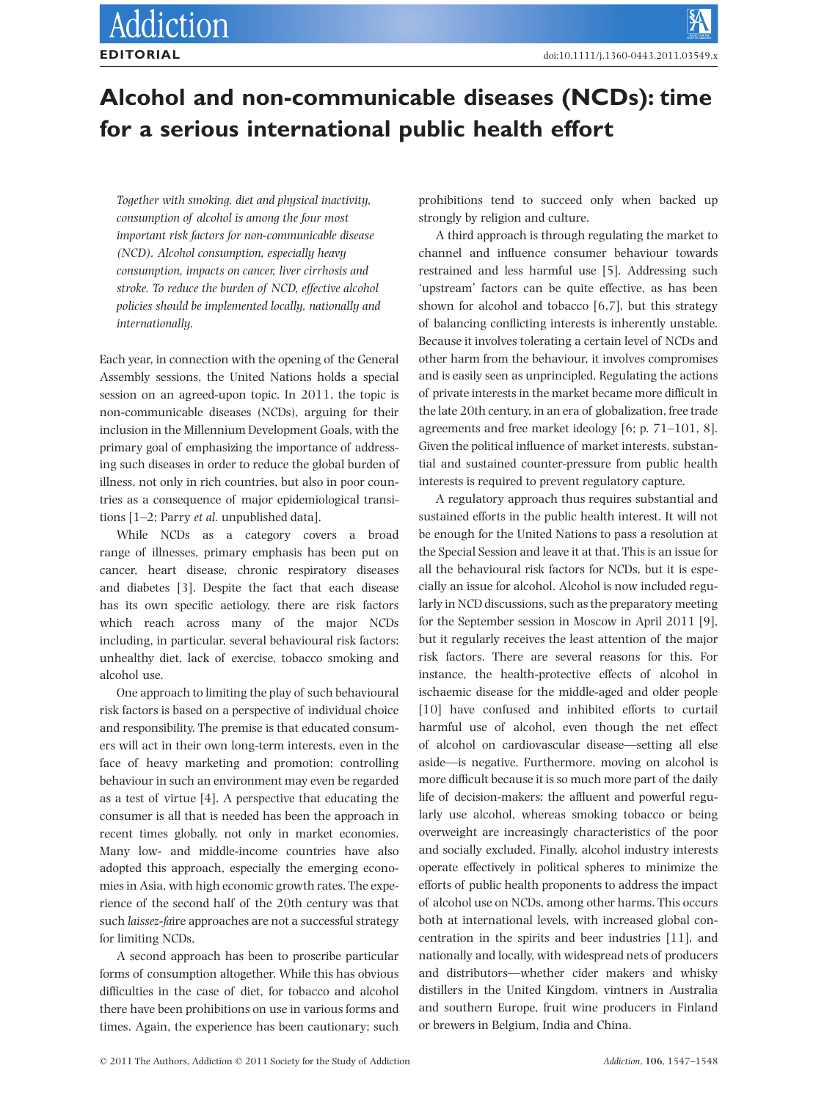## **Alcohol and non-communicable diseases (NCDs): time** for a serious international public health effort

*Together with smoking, diet and physical inactivity, consumption of alcohol is among the four most important risk factors for non-communicable disease (NCD). Alcohol consumption, especially heavy consumption, impacts on cancer, liver cirrhosis and stroke. To reduce the burden of NCD, effective alcohol policies should be implemented locally, nationally and internationally.*

Each year, in connection with the opening of the General Assembly sessions, the United Nations holds a special session on an agreed-upon topic. In 2011, the topic is non-communicable diseases (NCDs), arguing for their inclusion in the Millennium Development Goals, with the primary goal of emphasizing the importance of addressing such diseases in order to reduce the global burden of illness, not only in rich countries, but also in poor countries as a consequence of major epidemiological transitions [1–2; Parry *et al.* unpublished data].

While NCDs as a category covers a broad range of illnesses, primary emphasis has been put on cancer, heart disease, chronic respiratory diseases and diabetes [3]. Despite the fact that each disease has its own specific aetiology, there are risk factors which reach across many of the major NCDs including, in particular, several behavioural risk factors: unhealthy diet, lack of exercise, tobacco smoking and alcohol use.

One approach to limiting the play of such behavioural risk factors is based on a perspective of individual choice and responsibility. The premise is that educated consumers will act in their own long-term interests, even in the face of heavy marketing and promotion; controlling behaviour in such an environment may even be regarded as a test of virtue [4]. A perspective that educating the consumer is all that is needed has been the approach in recent times globally, not only in market economies. Many low- and middle-income countries have also adopted this approach, especially the emerging economies in Asia, with high economic growth rates. The experience of the second half of the 20th century was that such *laissez-fa*ire approaches are not a successful strategy for limiting NCDs.

A second approach has been to proscribe particular forms of consumption altogether. While this has obvious difficulties in the case of diet, for tobacco and alcohol there have been prohibitions on use in various forms and times. Again, the experience has been cautionary; such prohibitions tend to succeed only when backed up strongly by religion and culture.

A third approach is through regulating the market to channel and influence consumer behaviour towards restrained and less harmful use [5]. Addressing such 'upstream' factors can be quite effective, as has been shown for alcohol and tobacco [6,7], but this strategy of balancing conflicting interests is inherently unstable. Because it involves tolerating a certain level of NCDs and other harm from the behaviour, it involves compromises and is easily seen as unprincipled. Regulating the actions of private interests in the market became more difficult in the late 20th century, in an era of globalization, free trade agreements and free market ideology [6; p. 71–101, 8]. Given the political influence of market interests, substantial and sustained counter-pressure from public health interests is required to prevent regulatory capture.

A regulatory approach thus requires substantial and sustained efforts in the public health interest. It will not be enough for the United Nations to pass a resolution at the Special Session and leave it at that. This is an issue for all the behavioural risk factors for NCDs, but it is especially an issue for alcohol. Alcohol is now included regularly in NCD discussions, such as the preparatory meeting for the September session in Moscow in April 2011 [9], but it regularly receives the least attention of the major risk factors. There are several reasons for this. For instance, the health-protective effects of alcohol in ischaemic disease for the middle-aged and older people [10] have confused and inhibited efforts to curtail harmful use of alcohol, even though the net effect of alcohol on cardiovascular disease—setting all else aside—is negative. Furthermore, moving on alcohol is more difficult because it is so much more part of the daily life of decision-makers: the affluent and powerful regularly use alcohol, whereas smoking tobacco or being overweight are increasingly characteristics of the poor and socially excluded. Finally, alcohol industry interests operate effectively in political spheres to minimize the efforts of public health proponents to address the impact of alcohol use on NCDs, among other harms. This occurs both at international levels, with increased global concentration in the spirits and beer industries [11], and nationally and locally, with widespread nets of producers and distributors—whether cider makers and whisky distillers in the United Kingdom, vintners in Australia and southern Europe, fruit wine producers in Finland or brewers in Belgium, India and China.